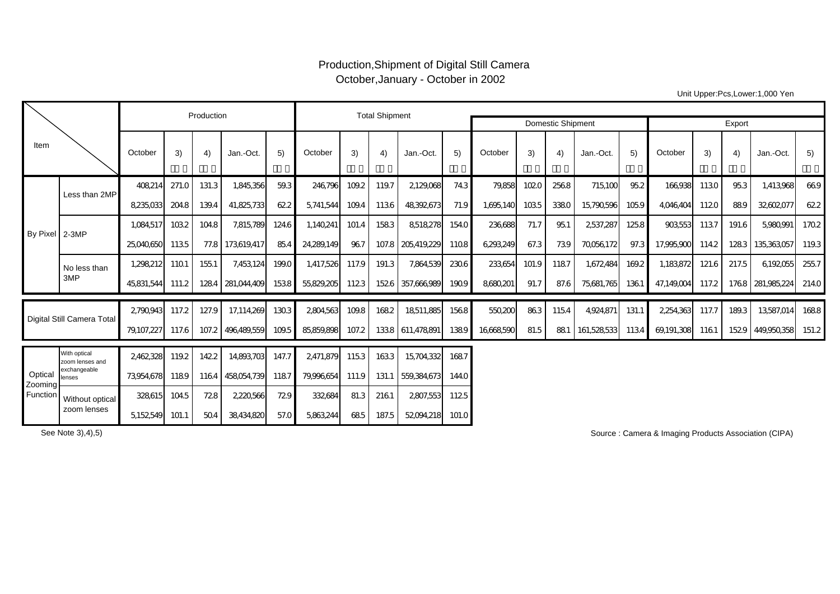## Production,Shipment of Digital Still Camera October,January - October in 2002

Unit Upper:Pcs,Lower:1,000 Yen

|                                |                                 |                | Production |       | <b>Total Shipment</b> |       |            |       |       |                   |        |           |       |       |             |       |            |       |       |                  |       |
|--------------------------------|---------------------------------|----------------|------------|-------|-----------------------|-------|------------|-------|-------|-------------------|--------|-----------|-------|-------|-------------|-------|------------|-------|-------|------------------|-------|
|                                |                                 |                |            |       |                       |       |            |       |       | Domestic Shipment | Export |           |       |       |             |       |            |       |       |                  |       |
| Item                           |                                 | October        | 3)         | 4)    | Jan.-Oct.             | 5)    | October    | 3)    | 4)    | Jan.-Oct.         | 5)     | October   | 3)    | 4)    | Jan.-Oct.   | 5)    | October    | 3)    | 4)    | Jan.-Oct.        | 5)    |
| By Pixel 2-3MP                 | Less than 2MP                   | 408,214        | 271.0      | 131.3 | 1,845,356             | 59.3  | 246796     | 109.2 | 119.7 | 2129,068          | 743    | 79,858    | 1020  | 2568  | 715,100     | 95.2  | 166,938    | 1130  | 95.3  | 1,413,968        | 669   |
|                                |                                 | 8,235,033      | 204.8      | 139.4 | 41,825,733            | 622   | 5,741,544  | 109.4 | 1136  | 48392673          | 71.9   | 1,695,140 | 1035  | 3380  | 15,790,596  | 1059  | 4,046,404  | 1120  | 889   | 32602077         | 622   |
|                                |                                 | 1,084,517      | 1032       | 104.8 | 7,815,789             | 124.6 | 1,140,241  | 101.4 | 1583  | 8518278           | 154.0  | 236,688   | 71.7  | 951   | 2537,287    | 1258  | 903,553    | 1137  | 191.6 | 5,980,991        | 1702  |
|                                |                                 | 25,040,650     | 1135       |       | 77.8 173,619,417      | 85.4  | 24,289,149 | 967   |       | 107.8 205,419,229 | 1108   | 6,293,249 | 67.3  | 739   | 70056172    | 97.3  | 17,995,900 | 114.2 |       | 1283 135363057   | 119.3 |
|                                | No less than                    | 1,298,212      | 1101       | 155.1 | 7,453,124             | 199.0 | 1,417,526  | 117.9 | 191.3 | 7,864,539         | 230.6  | 233,654   | 101.9 | 1187  | 1,672,484   | 169.2 | 1,183,872  | 121.6 | 217.5 | 6,192055         | 255.7 |
|                                | 3MP                             | 45,831,544     | 111.2      | 1284  | 281,044,409           | 1538  | 55,829,205 | 1123  | 1526  | 357.666.989       | 1909   | 8680,201  | 91.7  | 87.6  | 75,681,765  | 1361  | 47,149,004 | 117.2 |       | 1768 281,985,224 | 214.0 |
| Digital Still Camera Total     |                                 | 2790.943       | 117.2      | 127.9 | 17,114,269            | 1303  | 2804,563   | 109.8 | 1682  | 18511,885         | 1568   | 550,200   | 863   | 115.4 | 4,924,871   | 131.1 | 2,254,363  | 117.7 | 189.3 | 13,587,014       | 1688  |
|                                |                                 | 79,107,227     | 117.6      | 107.2 | 496,489,559           | 109.5 | 85,859,898 | 107.2 |       | 1338 611,478,891  | 1389   | 16668590  | 81.5  | 881   | 161,528,533 | 1134  | 69,191,308 | 1161  | 1529  | 449,950,358      | 151.2 |
| Optical<br>Zooming<br>Function | With optical<br>zoom lenses and | 2462328        | 119.2      | 1422  | 14,893,703            | 147.7 | 2471,879   | 1153  | 1633  | 15,704,332        | 1687   |           |       |       |             |       |            |       |       |                  |       |
|                                | exchangeable<br>lenses          | 73954.678      | 1189       | 1164  | 458054.739            | 1187  | 79.996.654 | 111.9 | 131.1 | 559,384,673       | 144.0  |           |       |       |             |       |            |       |       |                  |       |
|                                | Without optical                 | 328.615        | 104.5      | 728   | 2220566               | 729   | 332,684    | 81.3  | 2161  | 2807,553          | 1125   |           |       |       |             |       |            |       |       |                  |       |
|                                | zoom lenses                     | 5,152549 101.1 |            | 504   | 38434.820             | 57.0  | 5.863.244  | 685   | 187.5 | 52094.218 101.0   |        |           |       |       |             |       |            |       |       |                  |       |

See Note 3),4),5)

Source : Camera & Imaging Products Association (CIPA)